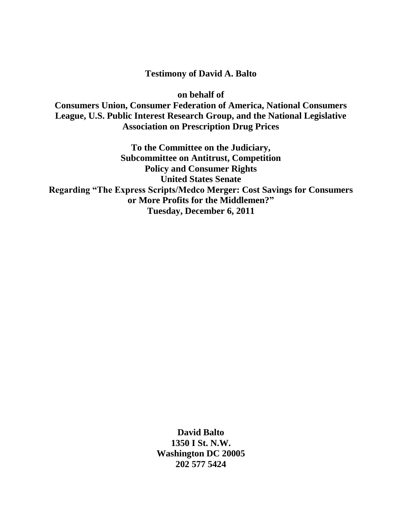# **Testimony of David A. Balto**

**on behalf of** 

**Consumers Union, Consumer Federation of America, National Consumers League, U.S. Public Interest Research Group, and the National Legislative Association on Prescription Drug Prices**

**To the Committee on the Judiciary, Subcommittee on Antitrust, Competition Policy and Consumer Rights United States Senate Regarding "The Express Scripts/Medco Merger: Cost Savings for Consumers or More Profits for the Middlemen?" Tuesday, December 6, 2011**

> **David Balto 1350 I St. N.W. Washington DC 20005 202 577 5424**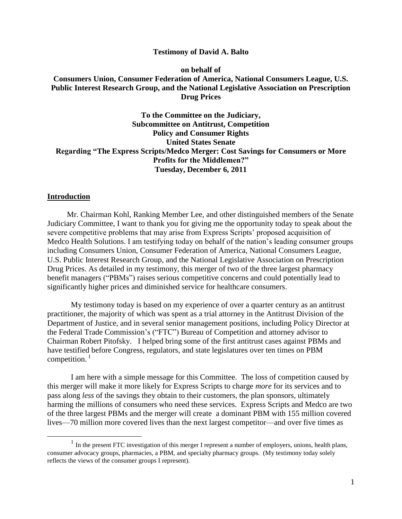#### **Testimony of David A. Balto**

## **on behalf of Consumers Union, Consumer Federation of America, National Consumers League, U.S. Public Interest Research Group, and the National Legislative Association on Prescription Drug Prices**

**To the Committee on the Judiciary, Subcommittee on Antitrust, Competition Policy and Consumer Rights United States Senate Regarding "The Express Scripts/Medco Merger: Cost Savings for Consumers or More Profits for the Middlemen?" Tuesday, December 6, 2011**

#### **Introduction**

 $\overline{a}$ 

 Mr. Chairman Kohl, Ranking Member Lee, and other distinguished members of the Senate Judiciary Committee, I want to thank you for giving me the opportunity today to speak about the severe competitive problems that may arise from Express Scripts' proposed acquisition of Medco Health Solutions. I am testifying today on behalf of the nation's leading consumer groups including Consumers Union, Consumer Federation of America, National Consumers League, U.S. Public Interest Research Group, and the National Legislative Association on Prescription Drug Prices. As detailed in my testimony, this merger of two of the three largest pharmacy benefit managers ("PBMs") raises serious competitive concerns and could potentially lead to significantly higher prices and diminished service for healthcare consumers.

My testimony today is based on my experience of over a quarter century as an antitrust practitioner, the majority of which was spent as a trial attorney in the Antitrust Division of the Department of Justice, and in several senior management positions, including Policy Director at the Federal Trade Commission's ("FTC") Bureau of Competition and attorney advisor to Chairman Robert Pitofsky. I helped bring some of the first antitrust cases against PBMs and have testified before Congress, regulators, and state legislatures over ten times on PBM competition.<sup>1</sup>

I am here with a simple message for this Committee. The loss of competition caused by this merger will make it more likely for Express Scripts to charge *more* for its services and to pass along *less* of the savings they obtain to their customers, the plan sponsors, ultimately harming the millions of consumers who need these services. Express Scripts and Medco are two of the three largest PBMs and the merger will create a dominant PBM with 155 million covered lives—70 million more covered lives than the next largest competitor—and over five times as

 $<sup>1</sup>$  In the present FTC investigation of this merger I represent a number of employers, unions, health plans,</sup> consumer advocacy groups, pharmacies, a PBM, and specialty pharmacy groups. (My testimony today solely reflects the views of the consumer groups I represent).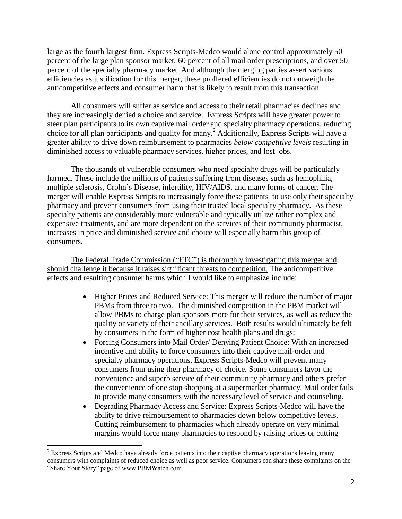large as the fourth largest firm. Express Scripts-Medco would alone control approximately 50 percent of the large plan sponsor market, 60 percent of all mail order prescriptions, and over 50 percent of the specialty pharmacy market. And although the merging parties assert various efficiencies as justification for this merger, these proffered efficiencies do not outweigh the anticompetitive effects and consumer harm that is likely to result from this transaction.

All consumers will suffer as service and access to their retail pharmacies declines and they are increasingly denied a choice and service. Express Scripts will have greater power to steer plan participants to its own captive mail order and specialty pharmacy operations, reducing choice for all plan participants and quality for many. <sup>2</sup> Additionally, Express Scripts will have a greater ability to drive down reimbursement to pharmacies *below competitive levels* resulting in diminished access to valuable pharmacy services, higher prices, and lost jobs.

The thousands of vulnerable consumers who need specialty drugs will be particularly harmed. These include the millions of patients suffering from diseases such as hemophilia, multiple sclerosis, Crohn's Disease, infertility, HIV/AIDS, and many forms of cancer. The merger will enable Express Scripts to increasingly force these patients to use only their specialty pharmacy and prevent consumers from using their trusted local specialty pharmacy. As these specialty patients are considerably more vulnerable and typically utilize rather complex and expensive treatments, and are more dependent on the services of their community pharmacist, increases in price and diminished service and choice will especially harm this group of consumers.

The Federal Trade Commission ("FTC") is thoroughly investigating this merger and should challenge it because it raises significant threats to competition. The anticompetitive effects and resulting consumer harms which I would like to emphasize include:

- Higher Prices and Reduced Service: This merger will reduce the number of major PBMs from three to two. The diminished competition in the PBM market will allow PBMs to charge plan sponsors more for their services, as well as reduce the quality or variety of their ancillary services. Both results would ultimately be felt by consumers in the form of higher cost health plans and drugs;
- Forcing Consumers into Mail Order/ Denying Patient Choice: With an increased incentive and ability to force consumers into their captive mail-order and specialty pharmacy operations, Express Scripts-Medco will prevent many consumers from using their pharmacy of choice. Some consumers favor the convenience and superb service of their community pharmacy and others prefer the convenience of one stop shopping at a supermarket pharmacy. Mail order fails to provide many consumers with the necessary level of service and counseling.
- Degrading Pharmacy Access and Service: Express Scripts-Medco will have the ability to drive reimbursement to pharmacies down below competitive levels. Cutting reimbursement to pharmacies which already operate on very minimal margins would force many pharmacies to respond by raising prices or cutting

<sup>&</sup>lt;sup>2</sup> Express Scripts and Medco have already force patients into their captive pharmacy operations leaving many consumers with complaints of reduced choice as well as poor service. Consumers can share these complaints on the "Share Your Story" page of www.PBMWatch.com.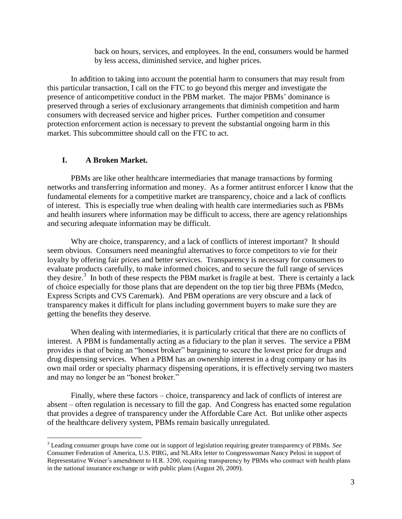back on hours, services, and employees. In the end, consumers would be harmed by less access, diminished service, and higher prices.

In addition to taking into account the potential harm to consumers that may result from this particular transaction, I call on the FTC to go beyond this merger and investigate the presence of anticompetitive conduct in the PBM market. The major PBMs' dominance is preserved through a series of exclusionary arrangements that diminish competition and harm consumers with decreased service and higher prices. Further competition and consumer protection enforcement action is necessary to prevent the substantial ongoing harm in this market. This subcommittee should call on the FTC to act.

#### **I. A Broken Market.**

 $\overline{a}$ 

PBMs are like other healthcare intermediaries that manage transactions by forming networks and transferring information and money. As a former antitrust enforcer I know that the fundamental elements for a competitive market are transparency, choice and a lack of conflicts of interest. This is especially true when dealing with health care intermediaries such as PBMs and health insurers where information may be difficult to access, there are agency relationships and securing adequate information may be difficult.

Why are choice, transparency, and a lack of conflicts of interest important? It should seem obvious. Consumers need meaningful alternatives to force competitors to vie for their loyalty by offering fair prices and better services. Transparency is necessary for consumers to evaluate products carefully, to make informed choices, and to secure the full range of services they desire.<sup>3</sup> In both of these respects the PBM market is fragile at best. There is certainly a lack of choice especially for those plans that are dependent on the top tier big three PBMs (Medco, Express Scripts and CVS Caremark). And PBM operations are very obscure and a lack of transparency makes it difficult for plans including government buyers to make sure they are getting the benefits they deserve.

When dealing with intermediaries, it is particularly critical that there are no conflicts of interest. A PBM is fundamentally acting as a fiduciary to the plan it serves. The service a PBM provides is that of being an "honest broker" bargaining to secure the lowest price for drugs and drug dispensing services. When a PBM has an ownership interest in a drug company or has its own mail order or specialty pharmacy dispensing operations, it is effectively serving two masters and may no longer be an "honest broker."

Finally, where these factors – choice, transparency and lack of conflicts of interest are absent – often regulation is necessary to fill the gap. And Congress has enacted some regulation that provides a degree of transparency under the Affordable Care Act. But unlike other aspects of the healthcare delivery system, PBMs remain basically unregulated.

<sup>3</sup> Leading consumer groups have come out in support of legislation requiring greater transparency of PBMs. *See*  Consumer Federation of America, U.S. PIRG, and NLARx letter to Congresswoman Nancy Pelosi in support of Representative Weiner's amendment to H.R. 3200, requiring transparency by PBMs who contract with health plans in the national insurance exchange or with public plans (August 20, 2009).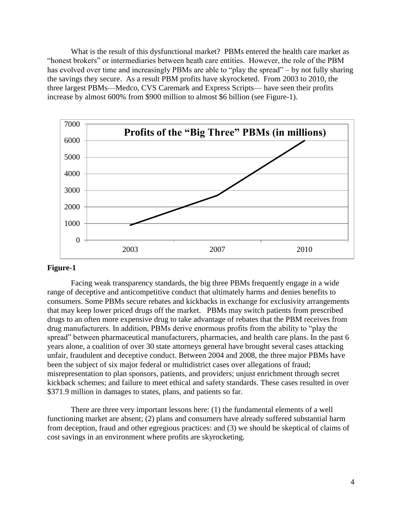What is the result of this dysfunctional market? PBMs entered the health care market as ―honest brokers‖ or intermediaries between heath care entities. However, the role of the PBM has evolved over time and increasingly PBMs are able to "play the spread" – by not fully sharing the savings they secure. As a result PBM profits have skyrocketed. From 2003 to 2010, the three largest PBMs—Medco, CVS Caremark and Express Scripts— have seen their profits increase by almost 600% from \$900 million to almost \$6 billion (see Figure-1).



#### **Figure-1**

Facing weak transparency standards, the big three PBMs frequently engage in a wide range of deceptive and anticompetitive conduct that ultimately harms and denies benefits to consumers. Some PBMs secure rebates and kickbacks in exchange for exclusivity arrangements that may keep lower priced drugs off the market. PBMs may switch patients from prescribed drugs to an often more expensive drug to take advantage of rebates that the PBM receives from drug manufacturers. In addition, PBMs derive enormous profits from the ability to "play the spread" between pharmaceutical manufacturers, pharmacies, and health care plans. In the past 6 years alone, a coalition of over 30 state attorneys general have brought several cases attacking unfair, fraudulent and deceptive conduct. Between 2004 and 2008, the three major PBMs have been the subject of six major federal or multidistrict cases over allegations of fraud; misrepresentation to plan sponsors, patients, and providers; unjust enrichment through secret kickback schemes; and failure to meet ethical and safety standards. These cases resulted in over \$371.9 million in damages to states, plans, and patients so far.

There are three very important lessons here: (1) the fundamental elements of a well functioning market are absent; (2) plans and consumers have already suffered substantial harm from deception, fraud and other egregious practices: and (3) we should be skeptical of claims of cost savings in an environment where profits are skyrocketing.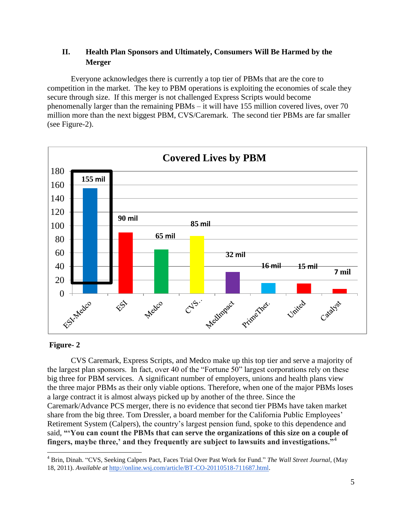# **II. Health Plan Sponsors and Ultimately, Consumers Will Be Harmed by the Merger**

Everyone acknowledges there is currently a top tier of PBMs that are the core to competition in the market. The key to PBM operations is exploiting the economies of scale they secure through size. If this merger is not challenged Express Scripts would become phenomenally larger than the remaining PBMs – it will have 155 million covered lives, over 70 million more than the next biggest PBM, CVS/Caremark. The second tier PBMs are far smaller (see Figure-2).



## **Figure- 2**

 $\overline{a}$ 

CVS Caremark, Express Scripts, and Medco make up this top tier and serve a majority of the largest plan sponsors. In fact, over 40 of the "Fortune 50" largest corporations rely on these big three for PBM services. A significant number of employers, unions and health plans view the three major PBMs as their only viable options. Therefore, when one of the major PBMs loses a large contract it is almost always picked up by another of the three. Since the Caremark/Advance PCS merger, there is no evidence that second tier PBMs have taken market share from the big three. Tom Dressler, a board member for the California Public Employees' Retirement System (Calpers), the country's largest pension fund, spoke to this dependence and said, **""You can count the PBMs that can serve the organizations of this size on a couple of fingers, maybe three," and they frequently are subject to lawsuits and investigations."**<sup>4</sup>

<sup>&</sup>lt;sup>4</sup> Brin, Dinah. "CVS, Seeking Calpers Pact, Faces Trial Over Past Work for Fund." *The Wall Street Journal*, (May 18, 2011). *Available at* [http://online.wsj.com/article/BT-CO-20110518-711687.html.](http://online.wsj.com/article/BT-CO-20110518-711687.html)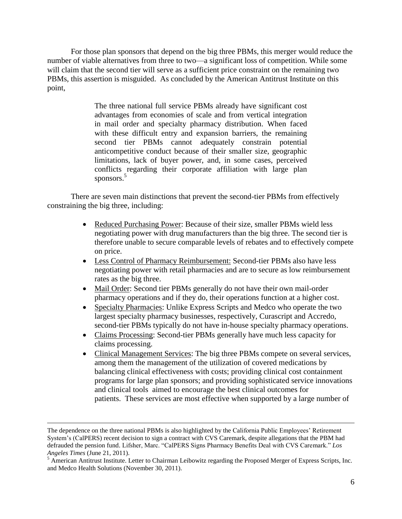For those plan sponsors that depend on the big three PBMs, this merger would reduce the number of viable alternatives from three to two—a significant loss of competition. While some will claim that the second tier will serve as a sufficient price constraint on the remaining two PBMs, this assertion is misguided. As concluded by the American Antitrust Institute on this point,

> The three national full service PBMs already have significant cost advantages from economies of scale and from vertical integration in mail order and specialty pharmacy distribution. When faced with these difficult entry and expansion barriers, the remaining second tier PBMs cannot adequately constrain potential anticompetitive conduct because of their smaller size, geographic limitations, lack of buyer power, and, in some cases, perceived conflicts regarding their corporate affiliation with large plan sponsors.<sup>5</sup>

There are seven main distinctions that prevent the second-tier PBMs from effectively constraining the big three, including:

- Reduced Purchasing Power: Because of their size, smaller PBMs wield less negotiating power with drug manufacturers than the big three. The second tier is therefore unable to secure comparable levels of rebates and to effectively compete on price.
- Less Control of Pharmacy Reimbursement: Second-tier PBMs also have less negotiating power with retail pharmacies and are to secure as low reimbursement rates as the big three.
- Mail Order: Second tier PBMs generally do not have their own mail-order pharmacy operations and if they do, their operations function at a higher cost.
- Specialty Pharmacies: Unlike Express Scripts and Medco who operate the two largest specialty pharmacy businesses, respectively, Curascript and Accredo, second-tier PBMs typically do not have in-house specialty pharmacy operations.
- Claims Processing: Second-tier PBMs generally have much less capacity for claims processing.
- Clinical Management Services: The big three PBMs compete on several services, among them the management of the utilization of covered medications by balancing clinical effectiveness with costs; providing clinical cost containment programs for large plan sponsors; and providing sophisticated service innovations and clinical tools aimed to encourage the best clinical outcomes for patients. These services are most effective when supported by a large number of

The dependence on the three national PBMs is also highlighted by the California Public Employees' Retirement System's (CalPERS) recent decision to sign a contract with CVS Caremark, despite allegations that the PBM had defrauded the pension fund. Lifsher, Marc. "CalPERS Signs Pharmacy Benefits Deal with CVS Caremark." Los *Angeles Times* (June 21, 2011).

 $<sup>5</sup>$  American Antitrust Institute. Letter to Chairman Leibowitz regarding the Proposed Merger of Express Scripts, Inc.</sup> and Medco Health Solutions (November 30, 2011).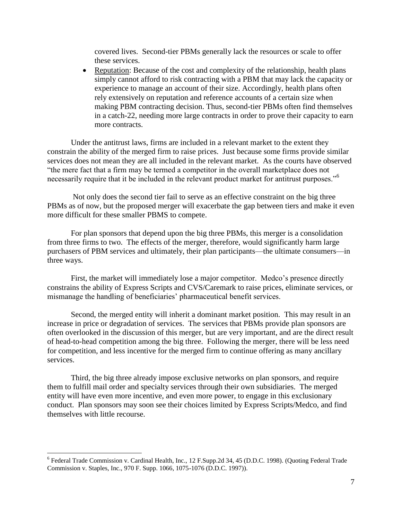covered lives. Second-tier PBMs generally lack the resources or scale to offer these services.

• Reputation: Because of the cost and complexity of the relationship, health plans simply cannot afford to risk contracting with a PBM that may lack the capacity or experience to manage an account of their size. Accordingly, health plans often rely extensively on reputation and reference accounts of a certain size when making PBM contracting decision. Thus, second-tier PBMs often find themselves in a catch-22, needing more large contracts in order to prove their capacity to earn more contracts.

Under the antitrust laws, firms are included in a relevant market to the extent they constrain the ability of the merged firm to raise prices. Just because some firms provide similar services does not mean they are all included in the relevant market. As the courts have observed ―the mere fact that a firm may be termed a competitor in the overall marketplace does not necessarily require that it be included in the relevant product market for antitrust purposes."<sup>6</sup>

Not only does the second tier fail to serve as an effective constraint on the big three PBMs as of now, but the proposed merger will exacerbate the gap between tiers and make it even more difficult for these smaller PBMS to compete.

For plan sponsors that depend upon the big three PBMs, this merger is a consolidation from three firms to two. The effects of the merger, therefore, would significantly harm large purchasers of PBM services and ultimately, their plan participants—the ultimate consumers—in three ways.

First, the market will immediately lose a major competitor. Medco's presence directly constrains the ability of Express Scripts and CVS/Caremark to raise prices, eliminate services, or mismanage the handling of beneficiaries' pharmaceutical benefit services.

Second, the merged entity will inherit a dominant market position. This may result in an increase in price or degradation of services. The services that PBMs provide plan sponsors are often overlooked in the discussion of this merger, but are very important, and are the direct result of head-to-head competition among the big three. Following the merger, there will be less need for competition, and less incentive for the merged firm to continue offering as many ancillary services.

Third, the big three already impose exclusive networks on plan sponsors, and require them to fulfill mail order and specialty services through their own subsidiaries. The merged entity will have even more incentive, and even more power, to engage in this exclusionary conduct. Plan sponsors may soon see their choices limited by Express Scripts/Medco, and find themselves with little recourse.

<sup>&</sup>lt;sup>6</sup> Federal Trade Commission v. Cardinal Health, Inc., 12 F.Supp.2d 34, 45 (D.D.C. 1998). (Quoting Federal Trade Commission v. Staples, Inc., 970 F. Supp. 1066, 1075-1076 (D.D.C. 1997)).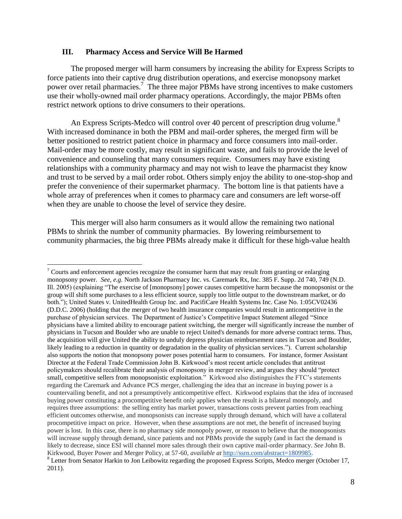#### **III. Pharmacy Access and Service Will Be Harmed**

 $\overline{a}$ 

The proposed merger will harm consumers by increasing the ability for Express Scripts to force patients into their captive drug distribution operations, and exercise monopsony market power over retail pharmacies.<sup>7</sup> The three major PBMs have strong incentives to make customers use their wholly-owned mail order pharmacy operations. Accordingly, the major PBMs often restrict network options to drive consumers to their operations.

An Express Scripts-Medco will control over 40 percent of prescription drug volume.<sup>8</sup> With increased dominance in both the PBM and mail-order spheres, the merged firm will be better positioned to restrict patient choice in pharmacy and force consumers into mail-order. Mail-order may be more costly, may result in significant waste, and fails to provide the level of convenience and counseling that many consumers require. Consumers may have existing relationships with a community pharmacy and may not wish to leave the pharmacist they know and trust to be served by a mail order robot. Others simply enjoy the ability to one-stop-shop and prefer the convenience of their supermarket pharmacy. The bottom line is that patients have a whole array of preferences when it comes to pharmacy care and consumers are left worse-off when they are unable to choose the level of service they desire.

This merger will also harm consumers as it would allow the remaining two national PBMs to shrink the number of community pharmacies. By lowering reimbursement to community pharmacies, the big three PBMs already make it difficult for these high-value health

 $\frac{7}{10}$  Courts and enforcement agencies recognize the consumer harm that may result from granting or enlarging monopsony power. *See, e.g.* North Jackson Pharmacy Inc. vs. Caremark Rx, Inc. 385 F. Supp. 2d 740, 749 (N.D. Ill. 2005) (explaining "The exercise of [monopsony] power causes competitive harm because the monopsonist or the group will shift some purchases to a less efficient source, supply too little output to the downstream market, or do both."); United States v. UnitedHealth Group Inc. and PacifiCare Health Systems Inc. Case No. 1:05CV02436 (D.D.C. 2006) (holding that the merger of two health insurance companies would result in anticompetitive in the purchase of physician services. The Department of Justice's Competitive Impact Statement alleged "Since physicians have a limited ability to encourage patient switching, the merger will significantly increase the number of physicians in Tucson and Boulder who are unable to reject United's demands for more adverse contract terms. Thus, the acquisition will give United the ability to unduly depress physician reimbursement rates in Tucson and Boulder, likely leading to a reduction in quantity or degradation in the quality of physician services.‖). Current scholarship also supports the notion that monopsony power poses potential harm to consumers. For instance, former Assistant Director at the Federal Trade Commission John B. Kirkwood's most recent article concludes that antitrust policymakers should recalibrate their analysis of monopsony in merger review, and argues they should "protect" small, competitive sellers from monopsonistic exploitation." Kirkwood also distinguishes the FTC's statements regarding the Caremark and Advance PCS merger, challenging the idea that an increase in buying power is a countervailing benefit, and not a presumptively anticompetitive effect. Kirkwood explains that the idea of increased buying power constituting a procompetitive benefit only applies when the result is a bilateral monopoly, and requires three assumptions: the selling entity has market power, transactions costs prevent parties from reaching efficient outcomes otherwise, and monopsonists can increase supply through demand, which will have a collateral procompetitive impact on price. However, when these assumptions are not met, the benefit of increased buying power is lost. In this case, there is no pharmacy side monopoly power, or reason to believe that the monopsonists will increase supply through demand, since patients and not PBMs provide the supply (and in fact the demand is likely to decrease, since ESI will channel more sales through their own captive mail-order pharmacy. *See* John B. Kirkwood, Buyer Power and Merger Policy, at 57-60, *available at* [http://ssrn.com/abstract=1809985.](http://ssrn.com/abstract=1809985) <sup>8</sup> Letter from Senator Harkin to Jon Leibowitz regarding the proposed Express Scripts, Medco merger (October 17, 2011).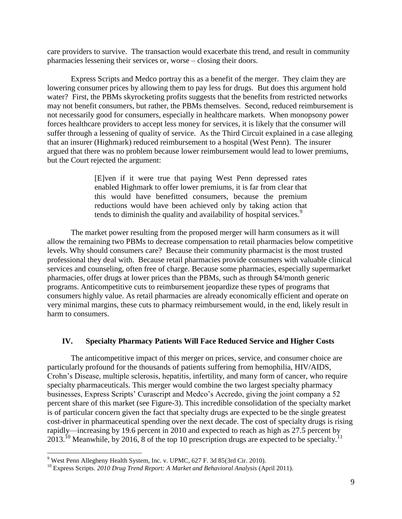care providers to survive. The transaction would exacerbate this trend, and result in community pharmacies lessening their services or, worse – closing their doors.

Express Scripts and Medco portray this as a benefit of the merger. They claim they are lowering consumer prices by allowing them to pay less for drugs. But does this argument hold water? First, the PBMs skyrocketing profits suggests that the benefits from restricted networks may not benefit consumers, but rather, the PBMs themselves. Second, reduced reimbursement is not necessarily good for consumers, especially in healthcare markets. When monopsony power forces healthcare providers to accept less money for services, it is likely that the consumer will suffer through a lessening of quality of service. As the Third Circuit explained in a case alleging that an insurer (Highmark) reduced reimbursement to a hospital (West Penn). The insurer argued that there was no problem because lower reimbursement would lead to lower premiums, but the Court rejected the argument:

> [E]ven if it were true that paying West Penn depressed rates enabled Highmark to offer lower premiums, it is far from clear that this would have benefitted consumers, because the premium reductions would have been achieved only by taking action that tends to diminish the quality and availability of hospital services.<sup>9</sup>

The market power resulting from the proposed merger will harm consumers as it will allow the remaining two PBMs to decrease compensation to retail pharmacies below competitive levels. Why should consumers care? Because their community pharmacist is the most trusted professional they deal with. Because retail pharmacies provide consumers with valuable clinical services and counseling, often free of charge. Because some pharmacies, especially supermarket pharmacies, offer drugs at lower prices than the PBMs, such as through \$4/month generic programs. Anticompetitive cuts to reimbursement jeopardize these types of programs that consumers highly value. As retail pharmacies are already economically efficient and operate on very minimal margins, these cuts to pharmacy reimbursement would, in the end, likely result in harm to consumers.

## **IV. Specialty Pharmacy Patients Will Face Reduced Service and Higher Costs**

The anticompetitive impact of this merger on prices, service, and consumer choice are particularly profound for the thousands of patients suffering from hemophilia, HIV/AIDS, Crohn's Disease, multiple sclerosis, hepatitis, infertility, and many form of cancer, who require specialty pharmaceuticals. This merger would combine the two largest specialty pharmacy businesses, Express Scripts' Curascript and Medco's Accredo, giving the joint company a 52 percent share of this market (see Figure-3). This incredible consolidation of the specialty market is of particular concern given the fact that specialty drugs are expected to be the single greatest cost-driver in pharmaceutical spending over the next decade. The cost of specialty drugs is rising rapidly—increasing by 19.6 percent in 2010 and expected to reach as high as 27.5 percent by  $2013.<sup>10</sup>$  Meanwhile, by 2016, 8 of the top 10 prescription drugs are expected to be specialty.<sup>11</sup>

<sup>9</sup> West Penn Allegheny Health System, Inc. v. UPMC, 627 F. 3d 85(3rd Cir. 2010).

<sup>10</sup> Express Scripts. *2010 Drug Trend Report: A Market and Behavioral Analysis* (April 2011).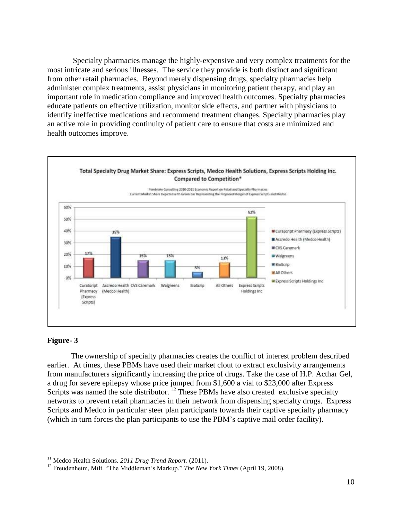Specialty pharmacies manage the highly-expensive and very complex treatments for the most intricate and serious illnesses. The service they provide is both distinct and significant from other retail pharmacies. Beyond merely dispensing drugs, specialty pharmacies help administer complex treatments, assist physicians in monitoring patient therapy, and play an important role in medication compliance and improved health outcomes. Specialty pharmacies educate patients on effective utilization, monitor side effects, and partner with physicians to identify ineffective medications and recommend treatment changes. Specialty pharmacies play an active role in providing continuity of patient care to ensure that costs are minimized and health outcomes improve.



#### **Figure- 3**

 $\overline{a}$ 

The ownership of specialty pharmacies creates the conflict of interest problem described earlier. At times, these PBMs have used their market clout to extract exclusivity arrangements from manufacturers significantly increasing the price of drugs. Take the case of H.P. Acthar Gel, a drug for severe epilepsy whose price jumped from \$1,600 a vial to \$23,000 after Express Scripts was named the sole distributor.  $\frac{12}{12}$  These PBMs have also created exclusive specialty networks to prevent retail pharmacies in their network from dispensing specialty drugs. Express Scripts and Medco in particular steer plan participants towards their captive specialty pharmacy (which in turn forces the plan participants to use the PBM's captive mail order facility).

<sup>&</sup>lt;sup>11</sup> Medco Health Solutions. *2011 Drug Trend Report.* (2011).

<sup>&</sup>lt;sup>12</sup> Freudenheim, Milt. "The Middleman's Markup." *The New York Times* (April 19, 2008).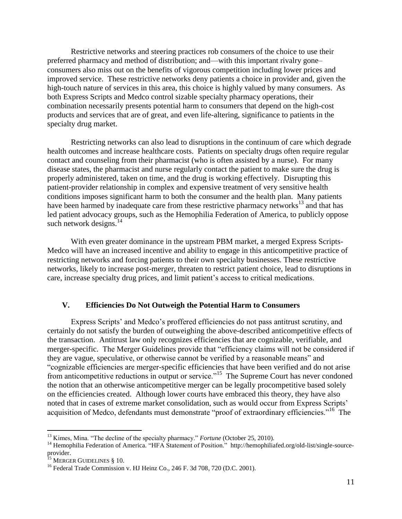Restrictive networks and steering practices rob consumers of the choice to use their preferred pharmacy and method of distribution; and—with this important rivalry gone– consumers also miss out on the benefits of vigorous competition including lower prices and improved service. These restrictive networks deny patients a choice in provider and, given the high-touch nature of services in this area, this choice is highly valued by many consumers. As both Express Scripts and Medco control sizable specialty pharmacy operations, their combination necessarily presents potential harm to consumers that depend on the high-cost products and services that are of great, and even life-altering, significance to patients in the specialty drug market.

Restricting networks can also lead to disruptions in the continuum of care which degrade health outcomes and increase healthcare costs. Patients on specialty drugs often require regular contact and counseling from their pharmacist (who is often assisted by a nurse). For many disease states, the pharmacist and nurse regularly contact the patient to make sure the drug is properly administered, taken on time, and the drug is working effectively. Disrupting this patient-provider relationship in complex and expensive treatment of very sensitive health conditions imposes significant harm to both the consumer and the health plan. Many patients have been harmed by inadequate care from these restrictive pharmacy networks<sup>13</sup> and that has led patient advocacy groups, such as the Hemophilia Federation of America, to publicly oppose such network designs. $14$ 

With even greater dominance in the upstream PBM market, a merged Express Scripts-Medco will have an increased incentive and ability to engage in this anticompetitive practice of restricting networks and forcing patients to their own specialty businesses. These restrictive networks, likely to increase post-merger, threaten to restrict patient choice, lead to disruptions in care, increase specialty drug prices, and limit patient's access to critical medications.

## **V. Efficiencies Do Not Outweigh the Potential Harm to Consumers**

Express Scripts' and Medco's proffered efficiencies do not pass antitrust scrutiny, and certainly do not satisfy the burden of outweighing the above-described anticompetitive effects of the transaction. Antitrust law only recognizes efficiencies that are cognizable, verifiable, and merger-specific. The Merger Guidelines provide that "efficiency claims will not be considered if they are vague, speculative, or otherwise cannot be verified by a reasonable means" and ―cognizable efficiencies are merger-specific efficiencies that have been verified and do not arise from anticompetitive reductions in output or service."<sup>15</sup> The Supreme Court has never condoned the notion that an otherwise anticompetitive merger can be legally procompetitive based solely on the efficiencies created. Although lower courts have embraced this theory, they have also noted that in cases of extreme market consolidation, such as would occur from Express Scripts' acquisition of Medco, defendants must demonstrate "proof of extraordinary efficiencies."<sup>16</sup> The

<sup>&</sup>lt;sup>13</sup> Kimes, Mina. "The decline of the specialty pharmacy." *Fortune* (October 25, 2010).

<sup>&</sup>lt;sup>14</sup> Hemophilia Federation of America. "HFA Statement of Position." http://hemophiliafed.org/old-list/single-sourceprovider.

<sup>&</sup>lt;sup>15</sup> MERGER GUIDELINES § 10.

<sup>&</sup>lt;sup>16</sup> Federal Trade Commission v. HJ Heinz Co., 246 F. 3d 708, 720 (D.C. 2001).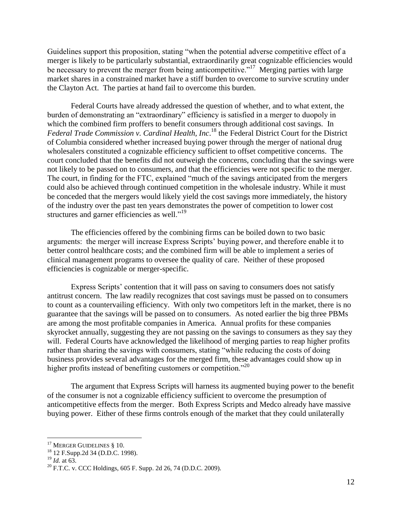Guidelines support this proposition, stating "when the potential adverse competitive effect of a merger is likely to be particularly substantial, extraordinarily great cognizable efficiencies would be necessary to prevent the merger from being anticompetitive."<sup>17</sup> Merging parties with large market shares in a constrained market have a stiff burden to overcome to survive scrutiny under the Clayton Act. The parties at hand fail to overcome this burden.

Federal Courts have already addressed the question of whether, and to what extent, the burden of demonstrating an "extraordinary" efficiency is satisfied in a merger to duopoly in which the combined firm proffers to benefit consumers through additional cost savings. In *Federal Trade Commission v. Cardinal Health, Inc*. <sup>18</sup> the Federal District Court for the District of Columbia considered whether increased buying power through the merger of national drug wholesalers constituted a cognizable efficiency sufficient to offset competitive concerns. The court concluded that the benefits did not outweigh the concerns, concluding that the savings were not likely to be passed on to consumers, and that the efficiencies were not specific to the merger. The court, in finding for the FTC, explained "much of the savings anticipated from the mergers could also be achieved through continued competition in the wholesale industry. While it must be conceded that the mergers would likely yield the cost savings more immediately, the history of the industry over the past ten years demonstrates the power of competition to lower cost structures and garner efficiencies as well."<sup>19</sup>

The efficiencies offered by the combining firms can be boiled down to two basic arguments: the merger will increase Express Scripts' buying power, and therefore enable it to better control healthcare costs; and the combined firm will be able to implement a series of clinical management programs to oversee the quality of care. Neither of these proposed efficiencies is cognizable or merger-specific.

Express Scripts' contention that it will pass on saving to consumers does not satisfy antitrust concern. The law readily recognizes that cost savings must be passed on to consumers to count as a countervailing efficiency. With only two competitors left in the market, there is no guarantee that the savings will be passed on to consumers. As noted earlier the big three PBMs are among the most profitable companies in America. Annual profits for these companies skyrocket annually, suggesting they are not passing on the savings to consumers as they say they will. Federal Courts have acknowledged the likelihood of merging parties to reap higher profits rather than sharing the savings with consumers, stating "while reducing the costs of doing business provides several advantages for the merged firm, these advantages could show up in higher profits instead of benefiting customers or competition."<sup>20</sup>

The argument that Express Scripts will harness its augmented buying power to the benefit of the consumer is not a cognizable efficiency sufficient to overcome the presumption of anticompetitive effects from the merger. Both Express Scripts and Medco already have massive buying power. Either of these firms controls enough of the market that they could unilaterally

 $17$  MERGER GUIDELINES § 10.

<sup>18</sup> 12 F.Supp.2d 34 (D.D.C. 1998).

<sup>19</sup> *Id.* at 63.

 $^{20}$  F.T.C. v. CCC Holdings, 605 F. Supp. 2d 26, 74 (D.D.C. 2009).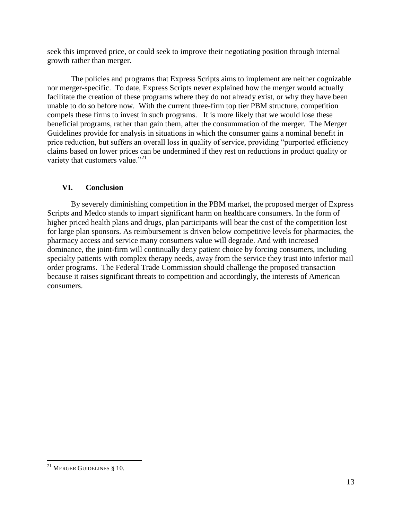seek this improved price, or could seek to improve their negotiating position through internal growth rather than merger.

The policies and programs that Express Scripts aims to implement are neither cognizable nor merger-specific. To date, Express Scripts never explained how the merger would actually facilitate the creation of these programs where they do not already exist, or why they have been unable to do so before now. With the current three-firm top tier PBM structure, competition compels these firms to invest in such programs. It is more likely that we would lose these beneficial programs, rather than gain them, after the consummation of the merger. The Merger Guidelines provide for analysis in situations in which the consumer gains a nominal benefit in price reduction, but suffers an overall loss in quality of service, providing "purported efficiency claims based on lower prices can be undermined if they rest on reductions in product quality or variety that customers value."<sup>21</sup>

# **VI. Conclusion**

By severely diminishing competition in the PBM market, the proposed merger of Express Scripts and Medco stands to impart significant harm on healthcare consumers. In the form of higher priced health plans and drugs, plan participants will bear the cost of the competition lost for large plan sponsors. As reimbursement is driven below competitive levels for pharmacies, the pharmacy access and service many consumers value will degrade. And with increased dominance, the joint-firm will continually deny patient choice by forcing consumers, including specialty patients with complex therapy needs, away from the service they trust into inferior mail order programs. The Federal Trade Commission should challenge the proposed transaction because it raises significant threats to competition and accordingly, the interests of American consumers.

 $\overline{a}$ <sup>21</sup> MERGER GUIDELINES § 10.